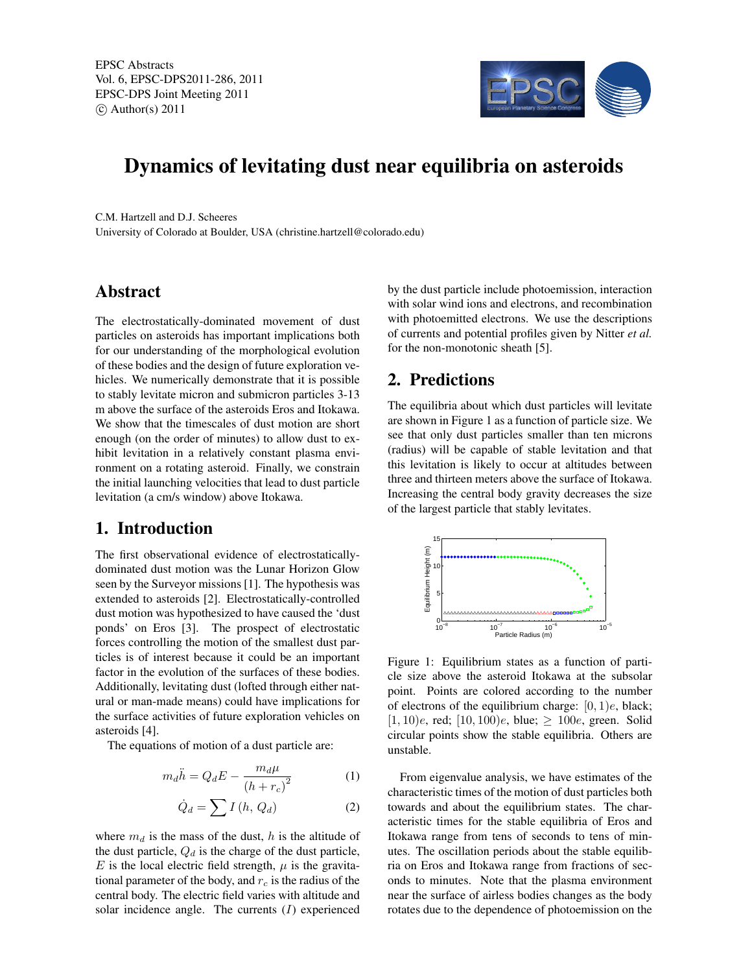

# Dynamics of levitating dust near equilibria on asteroids

C.M. Hartzell and D.J. Scheeres University of Colorado at Boulder, USA (christine.hartzell@colorado.edu)

## Abstract

The electrostatically-dominated movement of dust particles on asteroids has important implications both for our understanding of the morphological evolution of these bodies and the design of future exploration vehicles. We numerically demonstrate that it is possible to stably levitate micron and submicron particles 3-13 m above the surface of the asteroids Eros and Itokawa. We show that the timescales of dust motion are short enough (on the order of minutes) to allow dust to exhibit levitation in a relatively constant plasma environment on a rotating asteroid. Finally, we constrain the initial launching velocities that lead to dust particle levitation (a cm/s window) above Itokawa.

### 1. Introduction

The first observational evidence of electrostaticallydominated dust motion was the Lunar Horizon Glow seen by the Surveyor missions [1]. The hypothesis was extended to asteroids [2]. Electrostatically-controlled dust motion was hypothesized to have caused the 'dust ponds' on Eros [3]. The prospect of electrostatic forces controlling the motion of the smallest dust particles is of interest because it could be an important factor in the evolution of the surfaces of these bodies. Additionally, levitating dust (lofted through either natural or man-made means) could have implications for the surface activities of future exploration vehicles on asteroids [4].

The equations of motion of a dust particle are:

$$
m_d \ddot{h} = Q_d E - \frac{m_d \mu}{\left(h + r_c\right)^2} \tag{1}
$$

$$
\dot{Q}_d = \sum I(h, Q_d) \tag{2}
$$

where  $m_d$  is the mass of the dust, h is the altitude of the dust particle,  $Q_d$  is the charge of the dust particle, E is the local electric field strength,  $\mu$  is the gravitational parameter of the body, and  $r_c$  is the radius of the central body. The electric field varies with altitude and solar incidence angle. The currents  $(I)$  experienced by the dust particle include photoemission, interaction with solar wind ions and electrons, and recombination with photoemitted electrons. We use the descriptions of currents and potential profiles given by Nitter *et al.* for the non-monotonic sheath [5].

# 2. Predictions

The equilibria about which dust particles will levitate are shown in Figure 1 as a function of particle size. We see that only dust particles smaller than ten microns (radius) will be capable of stable levitation and that this levitation is likely to occur at altitudes between three and thirteen meters above the surface of Itokawa. Increasing the central body gravity decreases the size of the largest particle that stably levitates.



Figure 1: Equilibrium states as a function of particle size above the asteroid Itokawa at the subsolar point. Points are colored according to the number of electrons of the equilibrium charge:  $[0, 1)e$ , black;  $[1, 10]e$ , red;  $[10, 100]e$ , blue;  $\geq 100e$ , green. Solid circular points show the stable equilibria. Others are unstable.

From eigenvalue analysis, we have estimates of the characteristic times of the motion of dust particles both towards and about the equilibrium states. The characteristic times for the stable equilibria of Eros and Itokawa range from tens of seconds to tens of minutes. The oscillation periods about the stable equilibria on Eros and Itokawa range from fractions of seconds to minutes. Note that the plasma environment near the surface of airless bodies changes as the body rotates due to the dependence of photoemission on the